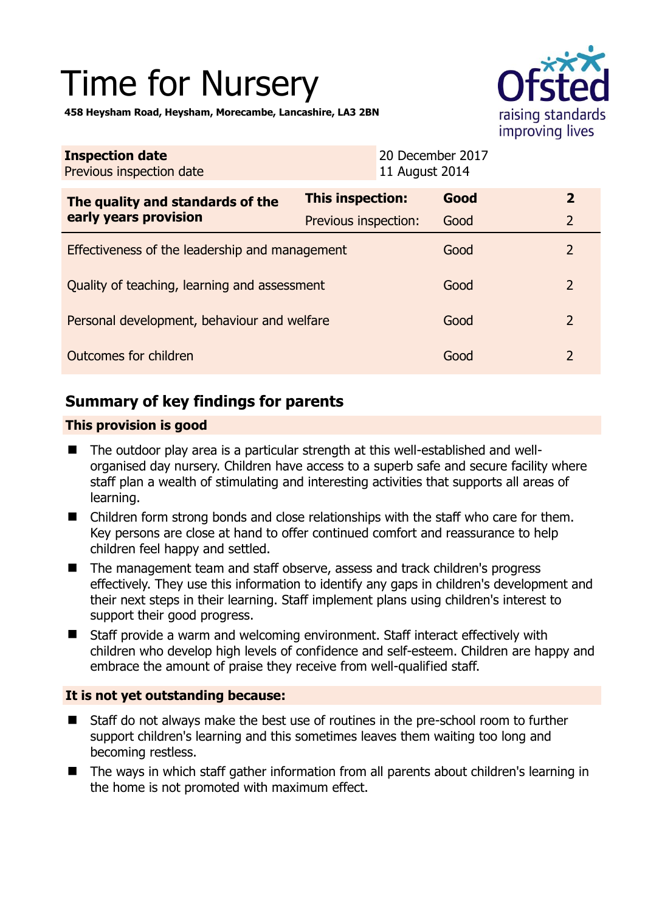# Time for Nursery



**458 Heysham Road, Heysham, Morecambe, Lancashire, LA3 2BN** 

| <b>Inspection date</b><br>Previous inspection date        | 11 August 2014       | 20 December 2017 |                |
|-----------------------------------------------------------|----------------------|------------------|----------------|
| The quality and standards of the<br>early years provision | This inspection:     | Good             | $\overline{2}$ |
|                                                           | Previous inspection: | Good             | $\overline{2}$ |
| Effectiveness of the leadership and management            |                      | Good             | $\overline{2}$ |
| Quality of teaching, learning and assessment              |                      | Good             | $\overline{2}$ |
| Personal development, behaviour and welfare               |                      | Good             | $\overline{2}$ |
| Outcomes for children                                     |                      | Good             | $\overline{2}$ |

# **Summary of key findings for parents**

### **This provision is good**

- The outdoor play area is a particular strength at this well-established and wellorganised day nursery. Children have access to a superb safe and secure facility where staff plan a wealth of stimulating and interesting activities that supports all areas of learning.
- Children form strong bonds and close relationships with the staff who care for them. Key persons are close at hand to offer continued comfort and reassurance to help children feel happy and settled.
- The management team and staff observe, assess and track children's progress effectively. They use this information to identify any gaps in children's development and their next steps in their learning. Staff implement plans using children's interest to support their good progress.
- Staff provide a warm and welcoming environment. Staff interact effectively with children who develop high levels of confidence and self-esteem. Children are happy and embrace the amount of praise they receive from well-qualified staff.

## **It is not yet outstanding because:**

- Staff do not always make the best use of routines in the pre-school room to further support children's learning and this sometimes leaves them waiting too long and becoming restless.
- The ways in which staff gather information from all parents about children's learning in the home is not promoted with maximum effect.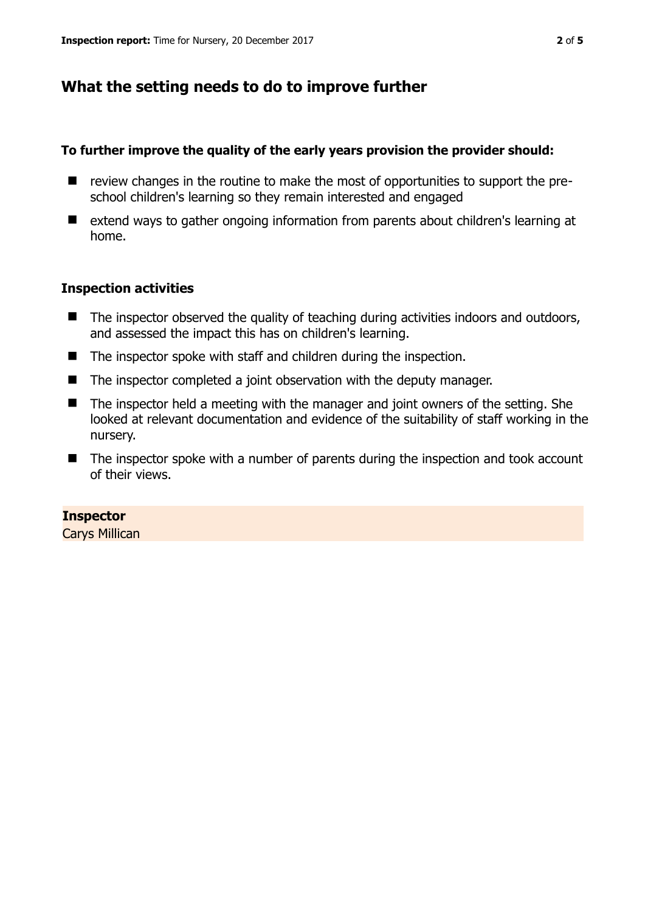# **What the setting needs to do to improve further**

#### **To further improve the quality of the early years provision the provider should:**

- review changes in the routine to make the most of opportunities to support the preschool children's learning so they remain interested and engaged
- extend ways to gather ongoing information from parents about children's learning at home.

#### **Inspection activities**

- $\blacksquare$  The inspector observed the quality of teaching during activities indoors and outdoors, and assessed the impact this has on children's learning.
- The inspector spoke with staff and children during the inspection.
- The inspector completed a joint observation with the deputy manager.
- The inspector held a meeting with the manager and joint owners of the setting. She looked at relevant documentation and evidence of the suitability of staff working in the nursery.
- The inspector spoke with a number of parents during the inspection and took account of their views.

#### **Inspector**

Carys Millican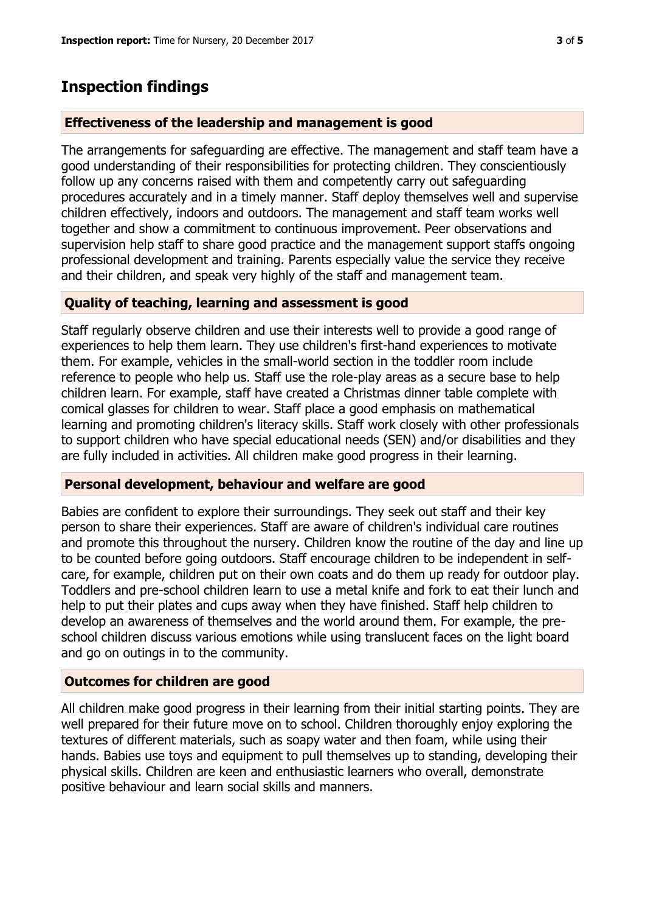## **Inspection findings**

#### **Effectiveness of the leadership and management is good**

The arrangements for safeguarding are effective. The management and staff team have a good understanding of their responsibilities for protecting children. They conscientiously follow up any concerns raised with them and competently carry out safeguarding procedures accurately and in a timely manner. Staff deploy themselves well and supervise children effectively, indoors and outdoors. The management and staff team works well together and show a commitment to continuous improvement. Peer observations and supervision help staff to share good practice and the management support staffs ongoing professional development and training. Parents especially value the service they receive and their children, and speak very highly of the staff and management team.

#### **Quality of teaching, learning and assessment is good**

Staff regularly observe children and use their interests well to provide a good range of experiences to help them learn. They use children's first-hand experiences to motivate them. For example, vehicles in the small-world section in the toddler room include reference to people who help us. Staff use the role-play areas as a secure base to help children learn. For example, staff have created a Christmas dinner table complete with comical glasses for children to wear. Staff place a good emphasis on mathematical learning and promoting children's literacy skills. Staff work closely with other professionals to support children who have special educational needs (SEN) and/or disabilities and they are fully included in activities. All children make good progress in their learning.

#### **Personal development, behaviour and welfare are good**

Babies are confident to explore their surroundings. They seek out staff and their key person to share their experiences. Staff are aware of children's individual care routines and promote this throughout the nursery. Children know the routine of the day and line up to be counted before going outdoors. Staff encourage children to be independent in selfcare, for example, children put on their own coats and do them up ready for outdoor play. Toddlers and pre-school children learn to use a metal knife and fork to eat their lunch and help to put their plates and cups away when they have finished. Staff help children to develop an awareness of themselves and the world around them. For example, the preschool children discuss various emotions while using translucent faces on the light board and go on outings in to the community.

#### **Outcomes for children are good**

All children make good progress in their learning from their initial starting points. They are well prepared for their future move on to school. Children thoroughly enjoy exploring the textures of different materials, such as soapy water and then foam, while using their hands. Babies use toys and equipment to pull themselves up to standing, developing their physical skills. Children are keen and enthusiastic learners who overall, demonstrate positive behaviour and learn social skills and manners.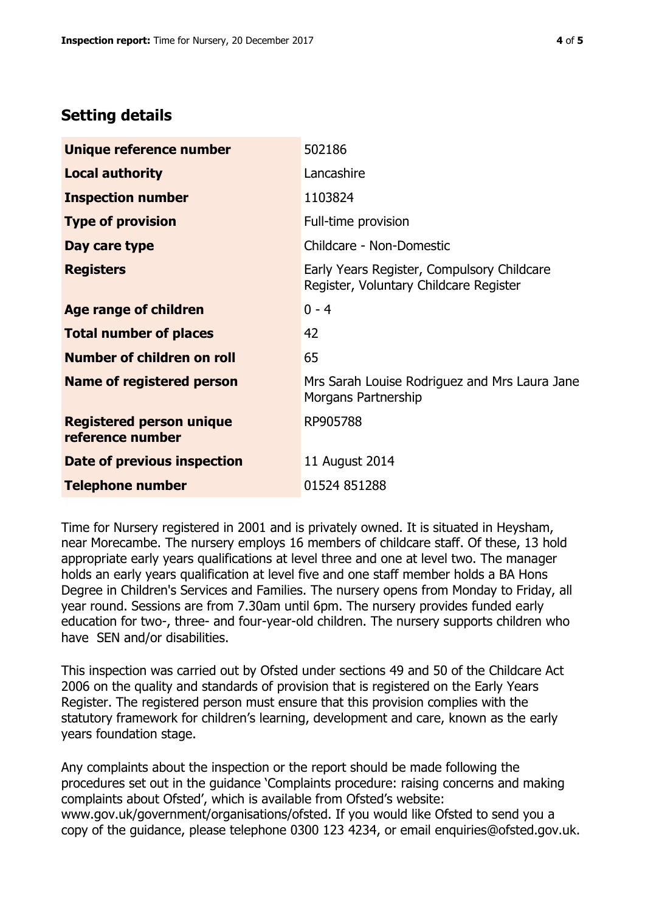## **Setting details**

| Unique reference number                             | 502186                                                                               |  |
|-----------------------------------------------------|--------------------------------------------------------------------------------------|--|
| <b>Local authority</b>                              | Lancashire                                                                           |  |
| <b>Inspection number</b>                            | 1103824                                                                              |  |
| <b>Type of provision</b>                            | Full-time provision                                                                  |  |
| Day care type                                       | Childcare - Non-Domestic                                                             |  |
| <b>Registers</b>                                    | Early Years Register, Compulsory Childcare<br>Register, Voluntary Childcare Register |  |
| <b>Age range of children</b>                        | $0 - 4$                                                                              |  |
| <b>Total number of places</b>                       | 42                                                                                   |  |
| Number of children on roll                          | 65                                                                                   |  |
| Name of registered person                           | Mrs Sarah Louise Rodriguez and Mrs Laura Jane<br>Morgans Partnership                 |  |
| <b>Registered person unique</b><br>reference number | RP905788                                                                             |  |
| Date of previous inspection                         | 11 August 2014                                                                       |  |
| <b>Telephone number</b>                             | 01524 851288                                                                         |  |

Time for Nursery registered in 2001 and is privately owned. It is situated in Heysham, near Morecambe. The nursery employs 16 members of childcare staff. Of these, 13 hold appropriate early years qualifications at level three and one at level two. The manager holds an early years qualification at level five and one staff member holds a BA Hons Degree in Children's Services and Families. The nursery opens from Monday to Friday, all year round. Sessions are from 7.30am until 6pm. The nursery provides funded early education for two-, three- and four-year-old children. The nursery supports children who have SEN and/or disabilities.

This inspection was carried out by Ofsted under sections 49 and 50 of the Childcare Act 2006 on the quality and standards of provision that is registered on the Early Years Register. The registered person must ensure that this provision complies with the statutory framework for children's learning, development and care, known as the early years foundation stage.

Any complaints about the inspection or the report should be made following the procedures set out in the guidance 'Complaints procedure: raising concerns and making complaints about Ofsted', which is available from Ofsted's website: www.gov.uk/government/organisations/ofsted. If you would like Ofsted to send you a copy of the guidance, please telephone 0300 123 4234, or email enquiries@ofsted.gov.uk.